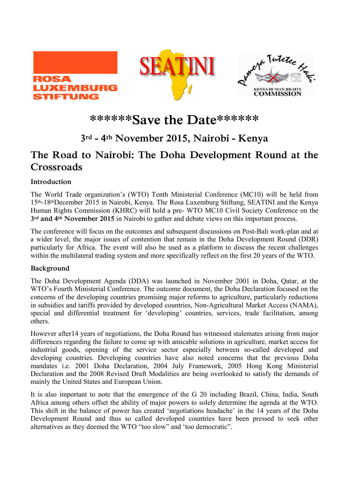





# **\*\*\*\*\*\*Save the Date\*\*\*\*\*\***

## **3rd - 4th November 2015, Nairobi - Kenya**

## **The Road to Nairobi: The Doha Development Round at the Crossroads**

### **Introduction**

The World Trade organization's (WTO) Tenth Ministerial Conference (MC10) will be held from 15th-18thDecember 2015 in Nairobi, Kenya. The Rosa Luxemburg Stiftung, SEATINI and the Kenya Human Rights Commission (KHRC) will hold a pre- WTO MC10 Civil Society Conference on the **3rd and 4th November 2015** in Nairobi to gather and debate views on this important process.

The conference will focus on the outcomes and subsequent discussions on Post-Bali work-plan and at a wider level, the major issues of contention that remain in the Doha Development Round (DDR) particularly for Africa. The event will also be used as a platform to discuss the recent challenges within the multilateral trading system and more specifically reflect on the first 20 years of the WTO.

### **Background**

The Doha Development Agenda (DDA) was launched in November 2001 in Doha, Qatar, at the WTO's Fourth Ministerial Conference. The outcome document, the Doha Declaration focused on the concerns of the developing countries promising major reforms to agriculture, particularly reductions in subsidies and tariffs provided by developed countries, Non-Agricultural Market Access (NAMA), special and differential treatment for 'developing' countries, services, trade facilitation, among others.

However after14 years of negotiations, the Doha Round has witnessed stalemates arising from major differences regarding the failure to come up with amicable solutions in agriculture, market access for industrial goods, opening of the service sector especially between so-called developed and developing countries. Developing countries have also noted concerns that the previous Doha mandates i.e. 2001 Doha Declaration, 2004 July Framework, 2005 Hong Kong Ministerial Declaration and the 2008 Revised Draft Modalities are being overlooked to satisfy the demands of mainly the United States and European Union.

It is also important to note that the emergence of the G 20 including Brazil, China, India, South Africa among others offset the ability of major powers to solely determine the agenda at the WTO. This shift in the balance of power has created 'negotiations headache' in the 14 years of the Doha Development Round and thus so called developed countries have been pressed to seek other alternatives as they deemed the WTO "too slow" and 'too democratic".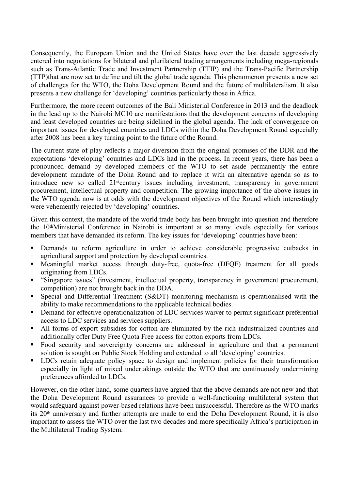Consequently, the European Union and the United States have over the last decade aggressively entered into negotiations for bilateral and plurilateral trading arrangements including mega-regionals such as Trans-Atlantic Trade and Investment Partnership (TTIP) and the Trans-Pacific Partnership (TTP)that are now set to define and tilt the global trade agenda. This phenomenon presents a new set of challenges for the WTO, the Doha Development Round and the future of multilateralism. It also presents a new challenge for 'developing' countries particularly those in Africa.

Furthermore, the more recent outcomes of the Bali Ministerial Conference in 2013 and the deadlock in the lead up to the Nairobi MC10 are manifestations that the development concerns of developing and least developed countries are being sidelined in the global agenda. The lack of convergence on important issues for developed countries and LDCs within the Doha Development Round especially after 2008 has been a key turning point to the future of the Round.

The current state of play reflects a major diversion from the original promises of the DDR and the expectations 'developing' countries and LDCs had in the process. In recent years, there has been a pronounced demand by developed members of the WTO to set aside permanently the entire development mandate of the Doha Round and to replace it with an alternative agenda so as to introduce new so called 21<sup>st</sup>century issues including investment, transparency in government procurement, intellectual property and competition. The growing importance of the above issues in the WTO agenda now is at odds with the development objectives of the Round which interestingly were vehemently rejected by 'developing' countries.

Given this context, the mandate of the world trade body has been brought into question and therefore the 10thMinisterial Conference in Nairobi is important at so many levels especially for various members that have demanded its reform. The key issues for 'developing' countries have been:

- Demands to reform agriculture in order to achieve considerable progressive cutbacks in agricultural support and protection by developed countries.
- Meaningful market access through duty-free, quota-free (DFQF) treatment for all goods originating from LDCs.
- "Singapore issues" (investment, intellectual property, transparency in government procurement, competition) are not brought back in the DDA.
- Special and Differential Treatment (S&DT) monitoring mechanism is operationalised with the ability to make recommendations to the applicable technical bodies.
- Demand for effective operationalization of LDC services waiver to permit significant preferential access to LDC services and services suppliers.
- All forms of export subsidies for cotton are eliminated by the rich industrialized countries and additionally offer Duty Free Quota Free access for cotton exports from LDCs.
- Food security and sovereignty concerns are addressed in agriculture and that a permanent solution is sought on Public Stock Holding and extended to all 'developing' countries.
- **•** LDCs retain adequate policy space to design and implement policies for their transformation especially in light of mixed undertakings outside the WTO that are continuously undermining preferences afforded to LDCs.

However, on the other hand, some quarters have argued that the above demands are not new and that the Doha Development Round assurances to provide a well-functioning multilateral system that would safeguard against power-based relations have been unsuccessful. Therefore as the WTO marks its 20th anniversary and further attempts are made to end the Doha Development Round, it is also important to assess the WTO over the last two decades and more specifically Africa's participation in the Multilateral Trading System.